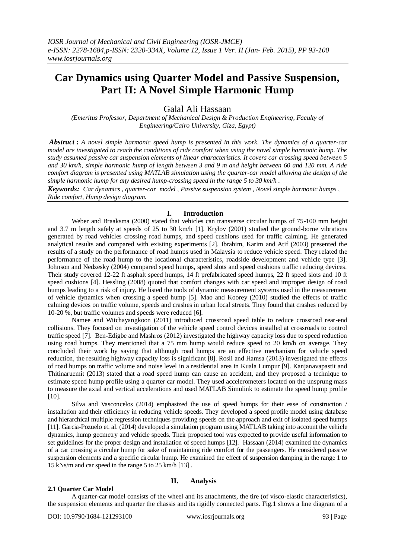# **Car Dynamics using Quarter Model and Passive Suspension, Part II: A Novel Simple Harmonic Hump**

Galal Ali Hassaan

*(Emeritus Professor, Department of Mechanical Design & Production Engineering, Faculty of Engineering/Cairo University, Giza, Egypt)*

*Abstract* **:** *A novel simple harmonic speed hump is presented in this work. The dynamics of a quarter-car model are investigated to reach the conditions of ride comfort when using the novel simple harmonic hump. The study assumed passive car suspension elements of linear characteristics. It covers car crossing speed between 5 and 30 km/h, simple harmonic hump of length between 3 and 9 m and height between 60 and 120 mm. A ride comfort diagram is presented using MATLAB simulation using the quarter-car model allowing the design of the simple harmonic hump for any desired hump-crossing speed in the range 5 to 30 km/h .*

*Keywords: Car dynamics , quarter-car model , Passive suspension system , Novel simple harmonic humps , Ride comfort, Hump design diagram.*

# **I. Introduction**

Weber and Braaksma (2000) stated that vehicles can transverse circular humps of 75-100 mm height and 3.7 m length safely at speeds of 25 to 30 km/h [1]. Krylov (2001) studied the ground-borne vibrations generated by road vehicles crossing road humps, and speed cushions used for traffic calming. He generated analytical results and compared with existing experiments [2]. Ibrahim, Karim and Atif (2003) presented the results of a study on the performance of road humps used in Malaysia to reduce vehicle speed. They related the performance of the road hump to the locational characteristics, roadside development and vehicle type [3]. Johnson and Nedzesky (2004) compared speed humps, speed slots and speed cushions traffic reducing devices. Their study covered 12-22 ft asphalt speed humps, 14 ft prefabricated speed humps, 22 ft speed slots and 10 ft speed cushions [4]. Hessling (2008) quoted that comfort changes with car speed and improper design of road humps leading to a risk of injury. He listed the tools of dynamic measurement systems used in the measurement of vehicle dynamics when crossing a speed hump [5]. Mao and Koorey (2010) studied the effects of traffic calming devices on traffic volume, speeds and crashes in urban local streets. They found that crashes reduced by 10-20 %, but traffic volumes and speeds were reduced [6].

Namee and Witchayangkoon (2011) introduced crossroad speed table to reduce crossroad rear-end collisions. They focused on investigation of the vehicle speed control devices installed at crossroads to control traffic speed [7]. Ben-Edigbe and Mashros (2012) investigated the highway capacity loss due to speed reduction using road humps. They mentioned that a 75 mm hump would reduce speed to 20 km/h on average. They concluded their work by saying that although road humps are an effective mechanism for vehicle speed reduction, the resulting highway capacity loss is significant [8]. Rosli and Hamsa (2013) investigated the effects of road humps on traffic volume and noise level in a residential area in Kuala Lumpur [9]. Kanjanavapastit and Thitinaruemit (2013) stated that a road speed hump can cause an accident, and they proposed a technique to estimate speed hump profile using a quarter car model. They used accelerometers located on the unsprung mass to measure the axial and vertical accelerations and used MATLAB Simulink to estimate the speed hump profile [10].

Silva and Vasconcelos (2014) emphasized the use of speed humps for their ease of construction / installation and their efficiency in reducing vehicle speeds. They developed a speed profile model using database and hierarchical multiple regression techniques providing speeds on the approach and exit of isolated speed humps [11]. Garcia-Pozuelo et. al. (2014) developed a simulation program using MATLAB taking into account the vehicle dynamics, hump geometry and vehicle speeds. Their proposed tool was expected to provide useful information to set guidelines for the proper design and installation of speed humps [12]. Hassaan (2014) examined the dynamics of a car crossing a circular hump for sake of maintaining ride comfort for the passengers. He considered passive suspension elements and a specific circular hump. He examined the effect of suspension damping in the range 1 to 15 kNs/m and car speed in the range 5 to 25 km/h [13] .

# **2.1 Quarter Car Model**

# **II. Analysis**

A quarter-car model consists of the wheel and its attachments, the tire (of visco-elastic characteristics), the suspension elements and quarter the chassis and its rigidly connected parts. Fig.1 shows a line diagram of a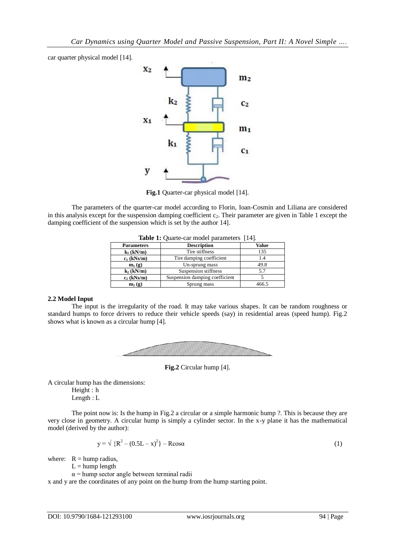car quarter physical model [14].



**Fig.1** Quarter-car physical model [14].

The parameters of the quarter-car model according to Florin, Ioan-Cosmin and Liliana are considered in this analysis except for the suspension damping coefficient  $c_2$ . Their parameter are given in Table 1 except the damping coefficient of the suspension which is set by the author 14].

| <b>Table 1:</b> Quarte-car model parameters [14]. |                                |       |
|---------------------------------------------------|--------------------------------|-------|
| <b>Parameters</b>                                 | <b>Description</b>             | Value |
| $k_1$ (kN/m)                                      | Tire stiffness                 | 135   |
| $c_1$ (kNs/m)                                     | Tire damping coefficient       | 1.4   |
| $m_1(g)$                                          | Un-sprung mass                 | 49.8  |
| $k_2$ (kN/m)                                      | Suspension stiffness           | 5.7   |
| $c_2$ (kNs/m)                                     | Suspension damping coefficient |       |
| $m_2(g)$                                          | Sprung mass                    | 466.5 |

## **2.2 Model Input**

The input is the irregularity of the road. It may take various shapes. It can be random roughness or standard humps to force drivers to reduce their vehicle speeds (say) in residential areas (speed hump). Fig.2 shows what is known as a circular hump [4].



**Fig.2** Circular hump [4].

A circular hump has the dimensions:

Height : h

Length : L

The point now is: Is the hump in Fig.2 a circular or a simple harmonic hump ?. This is because they are very close in geometry. A circular hump is simply a cylinder sector. In the x-y plane it has the mathematical model (derived by the author):

$$
y = \sqrt{{R^2 - (0.5L - x)^2}} - R\cos\alpha
$$
 (1)

where:  $R =$  hump radius,

 $L =$ hump length

 $\alpha$  = hump sector angle between terminal radii

x and y are the coordinates of any point on the hump from the hump starting point.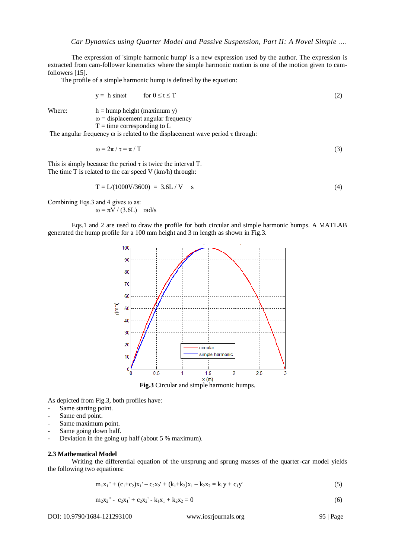The expression of 'simple harmonic hump' is a new expression used by the author. The expression is extracted from cam-follower kinematics where the simple harmonic motion is one of the motion given to camfollowers [15].

The profile of a simple harmonic hump is defined by the equation:

$$
y = h \sin \omega t \qquad \text{for } 0 \le t \le T \tag{2}
$$

Where:  $h =$ hump height (maximum y)

 $\omega$  = displacement angular frequency

 $T =$  time corresponding to  $L$ 

The angular frequency  $\omega$  is related to the displacement wave period  $\tau$  through:

$$
\omega = 2\pi / \tau = \pi / T \tag{3}
$$

This is simply because the period  $\tau$  is twice the interval T. The time T is related to the car speed V (km/h) through:

$$
T = L/(1000V/3600) = 3.6L/V \t s
$$
 (4)

Combining Eqs.3 and 4 gives  $\omega$  as:  $ω = πV / (3.6L)$  rad/s

Eqs.1 and 2 are used to draw the profile for both circular and simple harmonic humps. A MATLAB generated the hump profile for a 100 mm height and 3 m length as shown in Fig.3.



As depicted from Fig.3, both profiles have:

- Same starting point.
- Same end point.
- Same maximum point.
- Same going down half.
- Deviation in the going up half (about 5 % maximum).

#### **2.3 Mathematical Model**

Writing the differential equation of the unsprung and sprung masses of the quarter-car model yields the following two equations:

$$
m_1x_1'' + (c_1+c_2)x_1' - c_2x_2' + (k_1+k_2)x_1 - k_2x_2 = k_1y + c_1y'
$$
\n(5)

$$
m_2x_2'' - c_2x_1' + c_2x_2' - k_1x_1 + k_2x_2 = 0
$$
\n<sup>(6)</sup>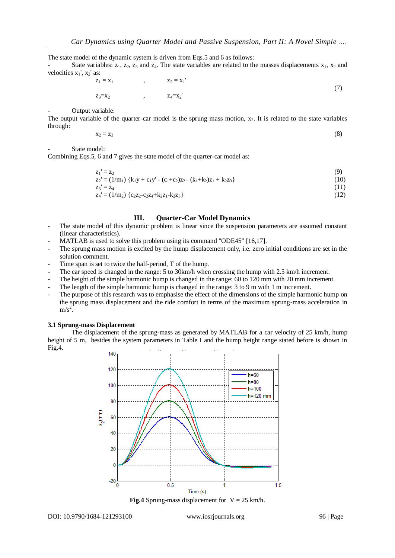The state model of the dynamic system is driven from Eqs.5 and 6 as follows:

State variables:  $z_1$ ,  $z_2$ ,  $z_3$  and  $z_4$ . The state variables are related to the masses displacements  $x_1$ ,  $x_2$  and velocities  $x_1$ ',  $x_2$ ' as:

$$
z_1 = x_1
$$
,  $z_2 = x_1$ '  
 $z_3 = x_2$ ,  $z_4 = x_2$ ' (7)

Output variable:

The output variable of the quarter-car model is the sprung mass motion,  $x_2$ . It is related to the state variables through:

$$
x_2 = z_3 \tag{8}
$$

State model:

Combining Eqs.5, 6 and 7 gives the state model of the quarter-car model as:

$$
z_1' = z_2
$$
  
\n
$$
z_2' = (1/m_1) \{k_1y + c_1y' - (c_1+c_2)z_2 - (k_1+k_2)z_1 + k_2z_3\}
$$
\n(9)

$$
z_3 = z_4 \tag{11}
$$

$$
z_4 = (1/m_2) \{c_2 z_2 - c_2 z_4 + k_2 z_1 - k_2 z_3\}
$$
\n(12)

## **III. Quarter-Car Model Dynamics**

- The state model of this dynamic problem is linear since the suspension parameters are assumed constant (linear characteristics).
- MATLAB is used to solve this problem using its command "ODE45" [16,17].
- The sprung mass motion is excited by the hump displacement only, i.e. zero initial conditions are set in the solution comment.
- Time span is set to twice the half-period, T of the hump.
- The car speed is changed in the range: 5 to 30km/h when crossing the hump with 2.5 km/h increment.
- The height of the simple harmonic hump is changed in the range: 60 to 120 mm with 20 mm increment.
- The length of the simple harmonic hump is changed in the range: 3 to 9 m with 1 m increment.
- The purpose of this research was to emphasise the effect of the dimensions of the simple harmonic hump on the sprung mass displacement and the ride comfort in terms of the maximum sprung-mass acceleration in  $m/s<sup>2</sup>$ .

## **3.1 Sprung-mass Displacement**

The displacement of the sprung-mass as generated by MATLAB for a car velocity of 25 km/h, hump height of 5 m, besides the system parameters in Table I and the hump height range stated before is shown in Fig.4.



**Fig.4** Sprung-mass displacement for  $V = 25$  km/h.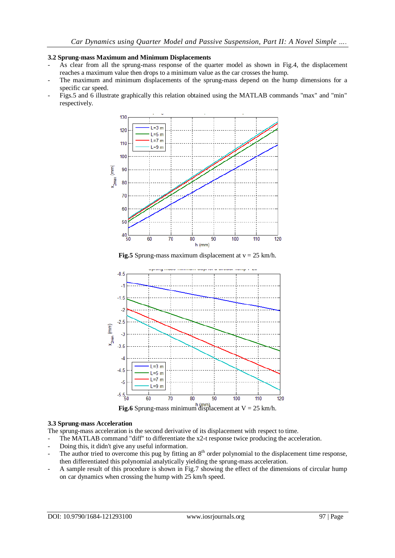## **3.2 Sprung-mass Maximum and Minimum Displacements**

- As clear from all the sprung-mass response of the quarter model as shown in Fig.4, the displacement reaches a maximum value then drops to a minimum value as the car crosses the hump.
- The maximum and minimum displacements of the sprung-mass depend on the hump dimensions for a specific car speed.
- Figs.5 and 6 illustrate graphically this relation obtained using the MATLAB commands "max" and "min" respectively.



**Fig.5** Sprung-mass maximum displacement at  $v = 25$  km/h.



## **3.3 Sprung-mass Acceleration**

The sprung-mass acceleration is the second derivative of its displacement with respect to time.

- The MATLAB command "diff" to differentiate the x2-t response twice producing the acceleration.
- Doing this, it didn't give any useful information.
- The author tried to overcome this pug by fitting an  $8<sup>th</sup>$  order polynomial to the displacement time response, then differentiated this polynomial analytically yielding the sprung-mass acceleration.
- A sample result of this procedure is shown in Fig.7 showing the effect of the dimensions of circular hump on car dynamics when crossing the hump with 25 km/h speed.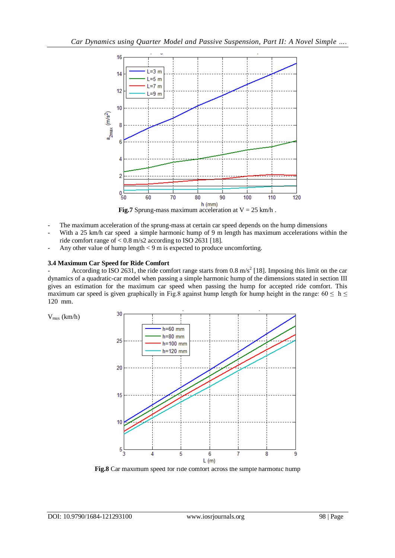

- The maximum acceleration of the sprung-mass at certain car speed depends on the hump dimensions With a 25 km/h car speed a simple harmonic hump of 9 m length has maximum accelerations within the ride comfort range of  $< 0.8$  m/s2 according to ISO 2631 [18].
- Any other value of hump length  $< 9$  m is expected to produce uncomforting.

# **3.4 Maximum Car Speed for Ride Comfort**

According to ISO 2631, the ride comfort range starts from 0.8  $m/s^2$  [18]. Imposing this limit on the car dynamics of a quadratic-car model when passing a simple harmonic hump of the dimensions stated in section III gives an estimation for the maximum car speed when passing the hump for accepted ride comfort. This maximum car speed is given graphically in Fig.8 against hump length for hump height in the range:  $60 \le h \le$ 120 mm.



**Fig.8** Car maximum speed for ride comfort across the simple harmonic hump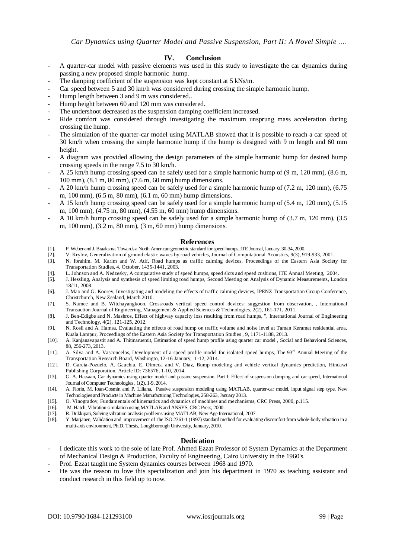# **IV. Conclusion**

- A quarter-car model with passive elements was used in this study to investigate the car dynamics during passing a new proposed simple harmonic hump.
- The damping coefficient of the suspension was kept constant at 5 kNs/m.
- Car speed between 5 and 30 km/h was considered during crossing the simple harmonic hump.
- Hump length between 3 and 9 m was considered...
- Hump height between 60 and 120 mm was considered.
- The undershoot decreased as the suspension damping coefficient increased.
- Ride comfort was considered through investigating the maximum unsprung mass acceleration during crossing the hump.
- The simulation of the quarter-car model using MATLAB showed that it is possible to reach a car speed of 30 km/h when crossing the simple harmonic hump if the hump is designed with 9 m length and 60 mm height.
- A diagram was provided allowing the design parameters of the simple harmonic hump for desired hump crossing speeds in the range 7.5 to 30 km/h.
- A 25 km/h hump crossing speed can be safely used for a simple harmonic hump of (9 m, 120 mm), (8.6 m, 100 mm), (8.1 m, 80 mm), (7.6 m, 60 mm) hump dimensions.
- A 20 km/h hump crossing speed can be safely used for a simple harmonic hump of (7.2 m, 120 mm), (6.75 m, 100 mm), (6.5 m, 80 mm), (6.1 m, 60 mm) hump dimensions.
- A 15 km/h hump crossing speed can be safely used for a simple harmonic hump of (5.4 m, 120 mm), (5.15 m, 100 mm), (4.75 m, 80 mm), (4.55 m, 60 mm) hump dimensions.
- A 10 km/h hump crossing speed can be safely used for a simple harmonic hump of (3.7 m, 120 mm), (3.5 m, 100 mm), (3.2 m, 80 mm), (3 m, 60 mm) hump dimensions.

## **References**

- [1]. P. Weber and J. Braaksma, Towards a North American geometric standard for speed humps, ITE Journal, January, 30-34, 2000.
- [2]. V. Krylov, Generalization of ground elastic waves by road vehicles, Journal of Computational Acoustics, 9(3), 919-933, 2001.
- [3]. N. Ibrahim, M. Karim and W. Atif, Road humps as traffic calming devices, Proceedings of the Eastern Asia Society for Transportation Studies, 4, October, 1435-1441, 2003.
- [4]. L. Johnson and A. Nedzesky, A comparative study of speed humps, speed slots and speed cushions, ITE Annual Meeting, 2004.
- [5]. J. Hessling, Analysis and synthesis of speed limiting road humps, Second Meeting on Analysis of Dynamic Measurements, London 18/11, 2008.
- [6]. J. Mao and G. Koorey, Investigating and modeling the effects of traffic calming devices, IPENZ Transportation Group Conference, Christchurch, New Zealand, March 2010.
- [7]. S. Namee and B. Witchayangkoon, Crossroads vertical speed control devices: suggestion from observation, , International Transaction Journal of Engineering, Management & Applied Sciences & Technologies, 2(2), 161-171, 2011.
- [8]. J. Ben-Edigbe and N. Mashros, Effect of highway capacity loss resulting from road humps, ", International Journal of Engineering and Technology, 4(2), 121-125, 2012.
- [9]. N. Rosli and A. Hamsa, Evaluating the effects of road hump on traffic volume and noise level at Taman Keramat residential area, Kuala Lampur, Proceedings of the Eastern Asia Society for Transportation Studies , 9, 1171-1188, 2013.
- [10]. A. Kanjanavapastit and A. Thitinaruemit, Estimation of speed hump profile using quarter car model, Social and Behavioral Sciences, 88, 256-273, 2013.
- [11]. A. Silva and A. Vasconcelos, Development of a speed profile model for isolated speed humps, The 93<sup>rd</sup> Annual Meeting of the Transportation Research Board, Washingto, 12-16 January, 1-12, 2014.
- [12]. D. Garcia-Pozuelo, A. Gauchia, E. Olmeda and V. Diaz, Bump modeling and vehicle vertical dynamics prediction, Hindawi Publishing Corporation, Article ID: 736576, 1-10, 2014.
- [13]. G. A. Hassaan, Car dynamics using quarter model and passive suspension, Part I: Effect of suspension damping and car speed, International Journal of Computer Technologies , 1(2), 1-9, 2014.
- [14]. A. Florin, M. Ioan-Cosmin and P. Liliana, Passive suspension modeling using MATLAB, quarter-car model, input signal step type, New Technologies and Products in Machine Manufacturing Technologies, 258-263, January 2013.
- [15]. O. Vinogradov, Fundamentals of kinematics and dynamics of machines and mechanisms, CRC Press, 2000, p.115.
- [16]. M. Hatch, Vibration simulation using MATLAB and ANSYS, CRC Press, 2000.
- [17]. R. Dukkipati, Solving vibration analysis problems using MATLAB, New Age International, 2007.
- [18]. Y. Marjanen, Validation and improvement of the ISO 2361-1 (1997) standard method for evaluating discomfort from whole-body vibration in a multi-axis environment, Ph.D. Thesis, Loughborough University, January, 2010.

# **Dedication**

- I dedicate this work to the sole of late Prof. Ahmed Ezzat Professor of System Dynamics at the Department of Mechanical Design & Production, Faculty of Engineering, Cairo University in the 1960's.
- Prof. Ezzat taught me System dynamics courses between 1968 and 1970.
- He was the reason to love this specialization and join his department in 1970 as teaching assistant and conduct research in this field up to now.